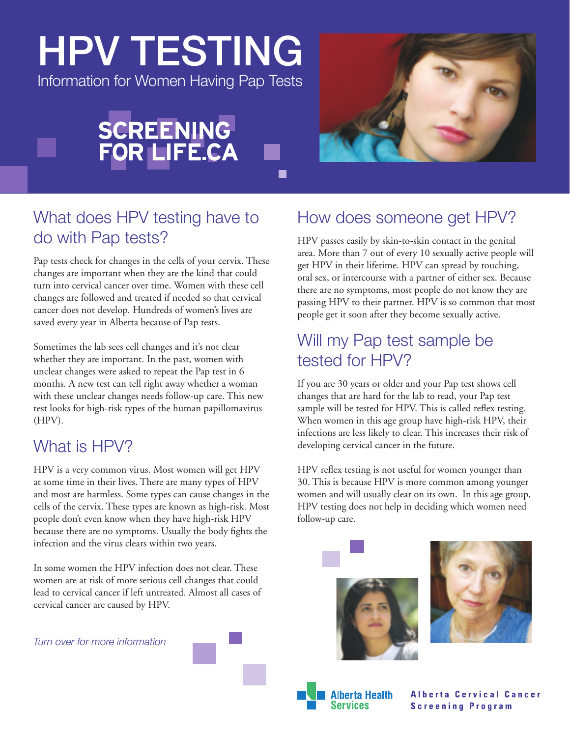# HPV TESTING

Information for Women Having Pap Tests



■



# What does HPV testing have to do with Pap tests?

Pap tests check for changes in the cells of your cervix. These changes are important when they are the kind that could turn into cervical cancer over time. Women with these cell changes are followed and treated if needed so that cervical cancer does not develop. Hundreds of women's lives are saved every year in Alberta because of Pap tests.

Sometimes the lab sees cell changes and it's not clear whether they are important. In the past, women with unclear changes were asked to repeat the Pap test in 6 months. A new test can tell right away whether a woman with these unclear changes needs follow-up care. This new test looks for high-risk types of the human papillomavirus (HPV).

# What is HPV?

HPV is a very common virus. Most women will get HPV at some time in their lives. There are many types of HPV and most are harmless. Some types can cause changes in the cells of the cervix. These types are known as high-risk. Most people don't even know when they have high-risk HPV because there are no symptoms. Usually the body fights the infection and the virus clears within two years.

In some women the HPV infection does not clear. These women are at risk of more serious cell changes that could lead to cervical cancer if left untreated. Almost all cases of cervical cancer are caused by HPV.

*Turn over for more information*

# How does someone get HPV?

HPV passes easily by skin-to-skin contact in the genital area. More than 7 out of every 10 sexually active people will get HPV in their lifetime. HPV can spread by touching, oral sex, or intercourse with a partner of either sex. Because there are no symptoms, most people do not know they are passing HPV to their partner. HPV is so common that most people get it soon after they become sexually active.

# Will my Pap test sample be tested for HPV?

If you are 30 years or older and your Pap test shows cell changes that are hard for the lab to read, your Pap test sample will be tested for HPV. This is called reflex testing. When women in this age group have high-risk HPV, their infections are less likely to clear. This increases their risk of developing cervical cancer in the future.

HPV reflex testing is not useful for women younger than 30. This is because HPV is more common among younger women and will usually clear on its own. In this age group, HPV testing does not help in deciding which women need follow-up care.







**Alberta Cervical Cancer Screening Program**